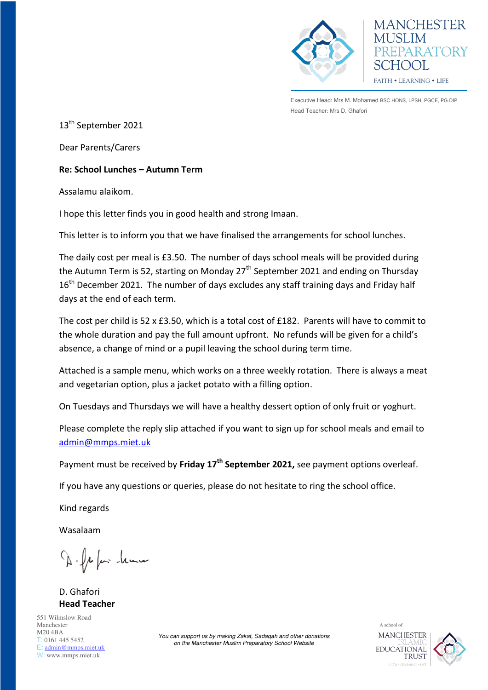

**MANCHESTER** EPARATORY  $H(x)$ FAITH . LEARNING . LIFE

Executive Head: Mrs M. Mohamed BSC.HONS, LPSH, PGCE, PG.DIP Head Teacher: Mrs D. Ghafori

13<sup>th</sup> September 2021

Dear Parents/Carers

## **Re: School Lunches – Autumn Term**

Assalamu alaikom.

I hope this letter finds you in good health and strong Imaan.

This letter is to inform you that we have finalised the arrangements for school lunches.

The daily cost per meal is £3.50. The number of days school meals will be provided during the Autumn Term is 52, starting on Monday  $27<sup>th</sup>$  September 2021 and ending on Thursday 16<sup>th</sup> December 2021. The number of days excludes any staff training days and Friday half days at the end of each term.

The cost per child is 52 x £3.50, which is a total cost of £182. Parents will have to commit to the whole duration and pay the full amount upfront. No refunds will be given for a child's absence, a change of mind or a pupil leaving the school during term time.

Attached is a sample menu, which works on a three weekly rotation. There is always a meat and vegetarian option, plus a jacket potato with a filling option.

On Tuesdays and Thursdays we will have a healthy dessert option of only fruit or yoghurt.

Please complete the reply slip attached if you want to sign up for school meals and email to [admin@mmps.miet.uk](mailto:admin@mmps.miet.uk)

Payment must be received by **Friday 17th September 2021,** see payment options overleaf.

If you have any questions or queries, please do not hesitate to ring the school office.

Kind regards

Wasalaam

D. fr fair -leann

D. Ghafori **Head Teacher** 

551 Wilmslow Road Manchester M20 4BA T: 0161 445 5452 E: [admin@mmps.miet.uk](mailto:admin@mmps.miet.uk) W: www.mmps.miet.uk

*You can support us by making Zakat, Sadaqah and other donations on the Manchester Muslim Preparatory School Website* 

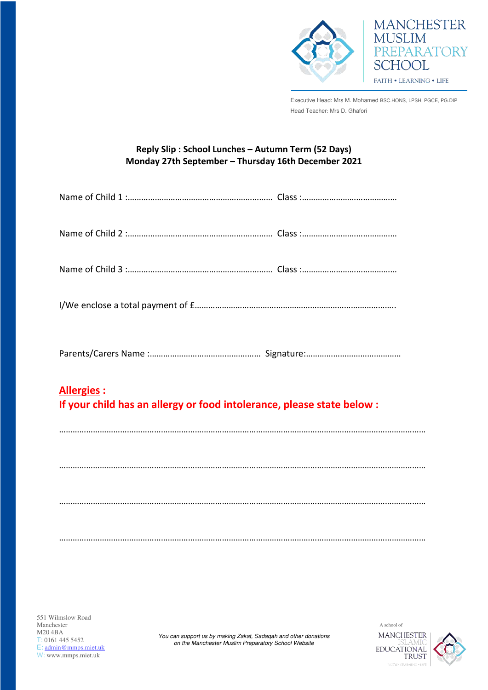

Executive Head: Mrs M. Mohamed BSC.HONS, LPSH, PGCE, PG.DIP Head Teacher: Mrs D. Ghafori

**MANCHESTER** 

PREPARATORY

**MUSLIM** 

**SCHOOL** 

FAITH . LEARNING . LIFE

## **Reply Slip : School Lunches – Autumn Term (52 Days) Monday 27th September – Thursday 16th December 2021**

| <b>Allergies:</b><br>If your child has an allergy or food intolerance, please state below : |  |  |
|---------------------------------------------------------------------------------------------|--|--|
|                                                                                             |  |  |
|                                                                                             |  |  |
|                                                                                             |  |  |
|                                                                                             |  |  |